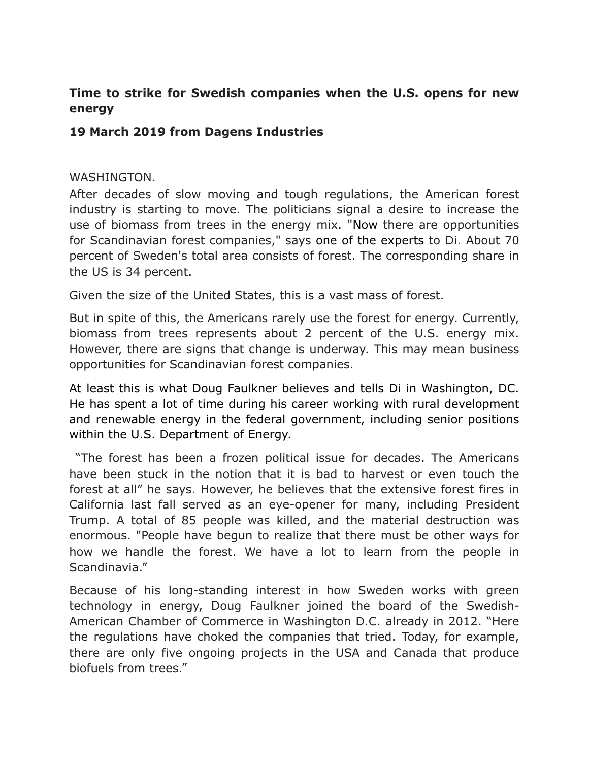## **Time to strike for Swedish companies when the U.S. opens for new energy**

## **19 March 2019 from Dagens Industries**

## WASHINGTON.

After decades of slow moving and tough regulations, the American forest industry is starting to move. The politicians signal a desire to increase the use of biomass from trees in the energy mix. "Now there are opportunities for Scandinavian forest companies," says one of the experts to Di. About 70 percent of Sweden's total area consists of forest. The corresponding share in the US is 34 percent.

Given the size of the United States, this is a vast mass of forest.

But in spite of this, the Americans rarely use the forest for energy. Currently, biomass from trees represents about 2 percent of the U.S. energy mix. However, there are signs that change is underway. This may mean business opportunities for Scandinavian forest companies.

At least this is what Doug Faulkner believes and tells Di in Washington, DC. He has spent a lot of time during his career working with rural development and renewable energy in the federal government, including senior positions within the U.S. Department of Energy.

 "The forest has been a frozen political issue for decades. The Americans have been stuck in the notion that it is bad to harvest or even touch the forest at all" he says. However, he believes that the extensive forest fires in California last fall served as an eye-opener for many, including President Trump. A total of 85 people was killed, and the material destruction was enormous. "People have begun to realize that there must be other ways for how we handle the forest. We have a lot to learn from the people in Scandinavia."

Because of his long-standing interest in how Sweden works with green technology in energy, Doug Faulkner joined the board of the Swedish-American Chamber of Commerce in Washington D.C. already in 2012. "Here the regulations have choked the companies that tried. Today, for example, there are only five ongoing projects in the USA and Canada that produce biofuels from trees."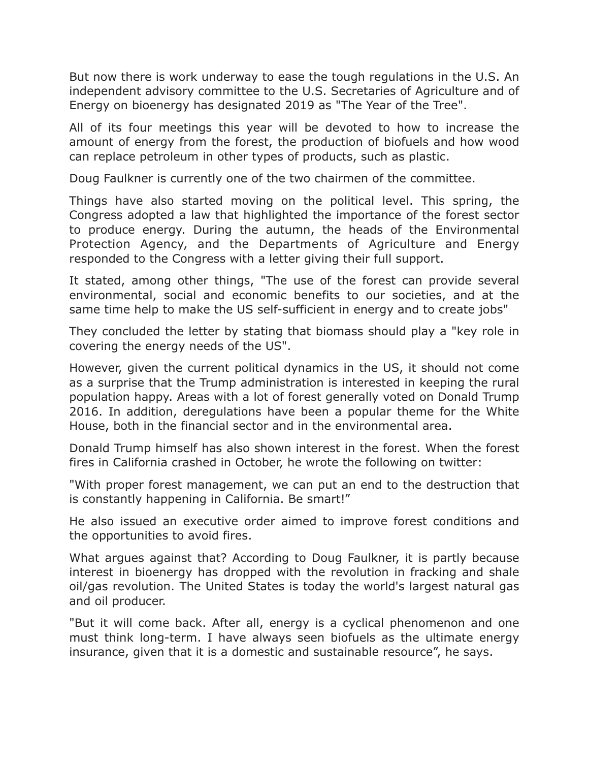But now there is work underway to ease the tough regulations in the U.S. An independent advisory committee to the U.S. Secretaries of Agriculture and of Energy on bioenergy has designated 2019 as "The Year of the Tree".

All of its four meetings this year will be devoted to how to increase the amount of energy from the forest, the production of biofuels and how wood can replace petroleum in other types of products, such as plastic.

Doug Faulkner is currently one of the two chairmen of the committee.

Things have also started moving on the political level. This spring, the Congress adopted a law that highlighted the importance of the forest sector to produce energy. During the autumn, the heads of the Environmental Protection Agency, and the Departments of Agriculture and Energy responded to the Congress with a letter giving their full support.

It stated, among other things, "The use of the forest can provide several environmental, social and economic benefits to our societies, and at the same time help to make the US self-sufficient in energy and to create jobs"

They concluded the letter by stating that biomass should play a "key role in covering the energy needs of the US".

However, given the current political dynamics in the US, it should not come as a surprise that the Trump administration is interested in keeping the rural population happy. Areas with a lot of forest generally voted on Donald Trump 2016. In addition, deregulations have been a popular theme for the White House, both in the financial sector and in the environmental area.

Donald Trump himself has also shown interest in the forest. When the forest fires in California crashed in October, he wrote the following on twitter:

"With proper forest management, we can put an end to the destruction that is constantly happening in California. Be smart!"

He also issued an executive order aimed to improve forest conditions and the opportunities to avoid fires.

What argues against that? According to Doug Faulkner, it is partly because interest in bioenergy has dropped with the revolution in fracking and shale oil/gas revolution. The United States is today the world's largest natural gas and oil producer.

"But it will come back. After all, energy is a cyclical phenomenon and one must think long-term. I have always seen biofuels as the ultimate energy insurance, given that it is a domestic and sustainable resource", he says.